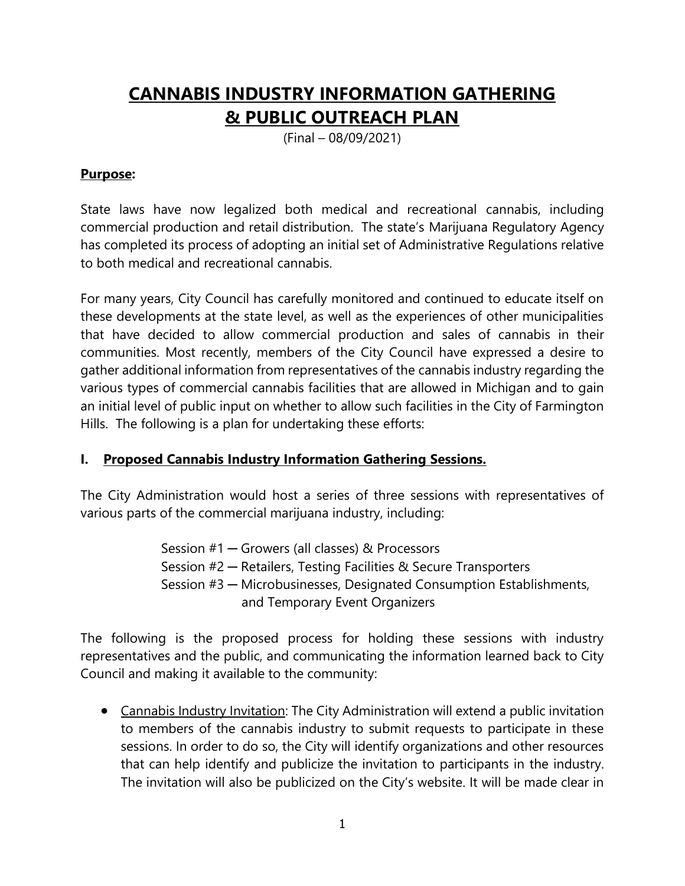# **CANNABIS INDUSTRY INFORMATION GATHERING & PUBLIC OUTREACH PLAN**

(Final – 08/09/2021)

### **Purpose:**

State laws have now legalized both medical and recreational cannabis, including commercial production and retail distribution. The state's Marijuana Regulatory Agency has completed its process of adopting an initial set of Administrative Regulations relative to both medical and recreational cannabis.

For many years, City Council has carefully monitored and continued to educate itself on these developments at the state level, as well as the experiences of other municipalities that have decided to allow commercial production and sales of cannabis in their communities. Most recently, members of the City Council have expressed a desire to gather additional information from representatives of the cannabis industry regarding the various types of commercial cannabis facilities that are allowed in Michigan and to gain an initial level of public input on whether to allow such facilities in the City of Farmington Hills. The following is a plan for undertaking these efforts:

# **I. Proposed Cannabis Industry Information Gathering Sessions.**

The City Administration would host a series of three sessions with representatives of various parts of the commercial marijuana industry, including:

> Session #1 ─ Growers (all classes) & Processors Session #2 – Retailers, Testing Facilities & Secure Transporters Session #3 — Microbusinesses, Designated Consumption Establishments, and Temporary Event Organizers

The following is the proposed process for holding these sessions with industry representatives and the public, and communicating the information learned back to City Council and making it available to the community:

• Cannabis Industry Invitation: The City Administration will extend a public invitation to members of the cannabis industry to submit requests to participate in these sessions. In order to do so, the City will identify organizations and other resources that can help identify and publicize the invitation to participants in the industry. The invitation will also be publicized on the City's website. It will be made clear in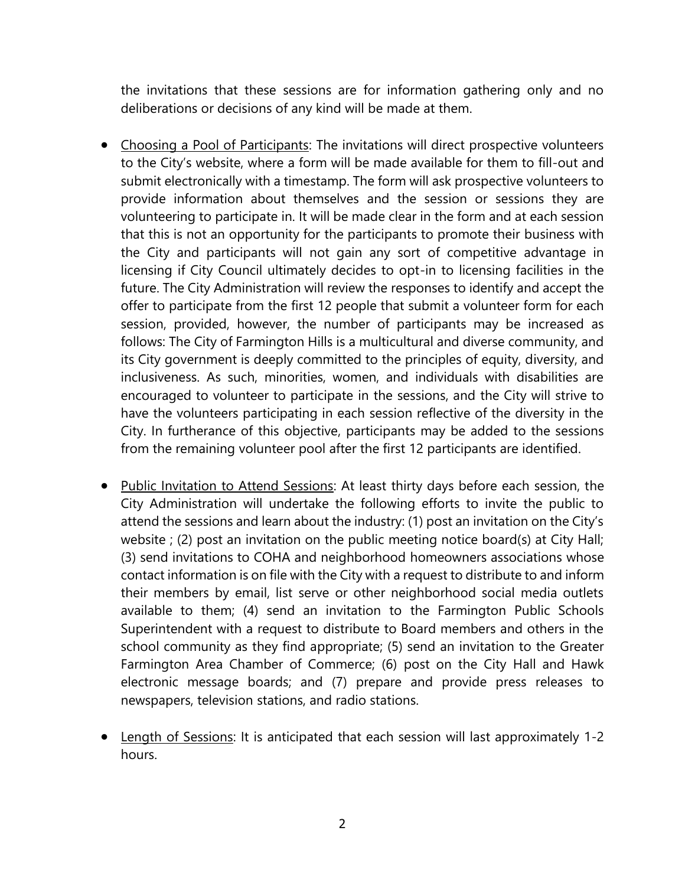the invitations that these sessions are for information gathering only and no deliberations or decisions of any kind will be made at them.

- Choosing a Pool of Participants: The invitations will direct prospective volunteers to the City's website, where a form will be made available for them to fill-out and submit electronically with a timestamp. The form will ask prospective volunteers to provide information about themselves and the session or sessions they are volunteering to participate in. It will be made clear in the form and at each session that this is not an opportunity for the participants to promote their business with the City and participants will not gain any sort of competitive advantage in licensing if City Council ultimately decides to opt-in to licensing facilities in the future. The City Administration will review the responses to identify and accept the offer to participate from the first 12 people that submit a volunteer form for each session, provided, however, the number of participants may be increased as follows: The City of Farmington Hills is a multicultural and diverse community, and its City government is deeply committed to the principles of equity, diversity, and inclusiveness. As such, minorities, women, and individuals with disabilities are encouraged to volunteer to participate in the sessions, and the City will strive to have the volunteers participating in each session reflective of the diversity in the City. In furtherance of this objective, participants may be added to the sessions from the remaining volunteer pool after the first 12 participants are identified.
- Public Invitation to Attend Sessions: At least thirty days before each session, the City Administration will undertake the following efforts to invite the public to attend the sessions and learn about the industry: (1) post an invitation on the City's website ; (2) post an invitation on the public meeting notice board(s) at City Hall; (3) send invitations to COHA and neighborhood homeowners associations whose contact information is on file with the City with a request to distribute to and inform their members by email, list serve or other neighborhood social media outlets available to them; (4) send an invitation to the Farmington Public Schools Superintendent with a request to distribute to Board members and others in the school community as they find appropriate; (5) send an invitation to the Greater Farmington Area Chamber of Commerce; (6) post on the City Hall and Hawk electronic message boards; and (7) prepare and provide press releases to newspapers, television stations, and radio stations.
- Length of Sessions: It is anticipated that each session will last approximately 1-2 hours.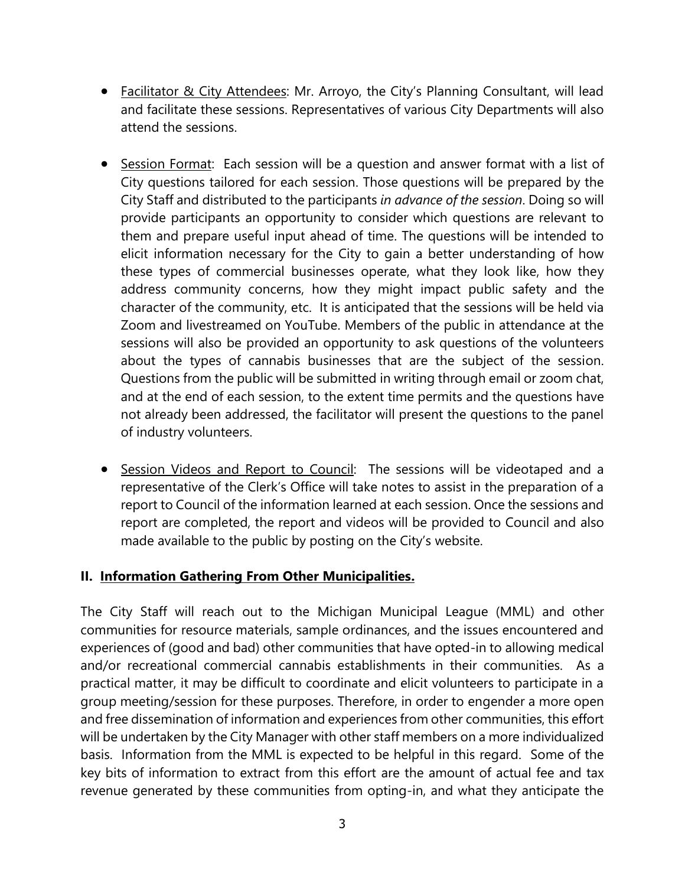- Facilitator & City Attendees: Mr. Arroyo, the City's Planning Consultant, will lead and facilitate these sessions. Representatives of various City Departments will also attend the sessions.
- Session Format: Each session will be a question and answer format with a list of City questions tailored for each session. Those questions will be prepared by the City Staff and distributed to the participants *in advance of the session*. Doing so will provide participants an opportunity to consider which questions are relevant to them and prepare useful input ahead of time. The questions will be intended to elicit information necessary for the City to gain a better understanding of how these types of commercial businesses operate, what they look like, how they address community concerns, how they might impact public safety and the character of the community, etc. It is anticipated that the sessions will be held via Zoom and livestreamed on YouTube. Members of the public in attendance at the sessions will also be provided an opportunity to ask questions of the volunteers about the types of cannabis businesses that are the subject of the session. Questions from the public will be submitted in writing through email or zoom chat, and at the end of each session, to the extent time permits and the questions have not already been addressed, the facilitator will present the questions to the panel of industry volunteers.
- Session Videos and Report to Council: The sessions will be videotaped and a representative of the Clerk's Office will take notes to assist in the preparation of a report to Council of the information learned at each session. Once the sessions and report are completed, the report and videos will be provided to Council and also made available to the public by posting on the City's website.

#### **II. Information Gathering From Other Municipalities.**

The City Staff will reach out to the Michigan Municipal League (MML) and other communities for resource materials, sample ordinances, and the issues encountered and experiences of (good and bad) other communities that have opted-in to allowing medical and/or recreational commercial cannabis establishments in their communities. As a practical matter, it may be difficult to coordinate and elicit volunteers to participate in a group meeting/session for these purposes. Therefore, in order to engender a more open and free dissemination of information and experiences from other communities, this effort will be undertaken by the City Manager with other staff members on a more individualized basis. Information from the MML is expected to be helpful in this regard. Some of the key bits of information to extract from this effort are the amount of actual fee and tax revenue generated by these communities from opting-in, and what they anticipate the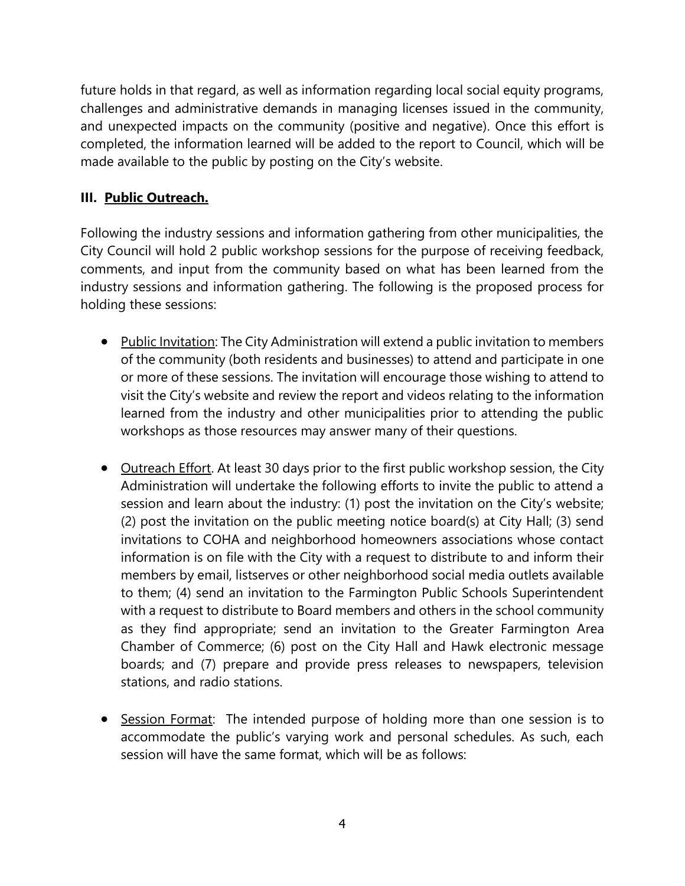future holds in that regard, as well as information regarding local social equity programs, challenges and administrative demands in managing licenses issued in the community, and unexpected impacts on the community (positive and negative). Once this effort is completed, the information learned will be added to the report to Council, which will be made available to the public by posting on the City's website.

## **III. Public Outreach.**

Following the industry sessions and information gathering from other municipalities, the City Council will hold 2 public workshop sessions for the purpose of receiving feedback, comments, and input from the community based on what has been learned from the industry sessions and information gathering. The following is the proposed process for holding these sessions:

- Public Invitation: The City Administration will extend a public invitation to members of the community (both residents and businesses) to attend and participate in one or more of these sessions. The invitation will encourage those wishing to attend to visit the City's website and review the report and videos relating to the information learned from the industry and other municipalities prior to attending the public workshops as those resources may answer many of their questions.
- Outreach Effort. At least 30 days prior to the first public workshop session, the City Administration will undertake the following efforts to invite the public to attend a session and learn about the industry: (1) post the invitation on the City's website; (2) post the invitation on the public meeting notice board(s) at City Hall; (3) send invitations to COHA and neighborhood homeowners associations whose contact information is on file with the City with a request to distribute to and inform their members by email, listserves or other neighborhood social media outlets available to them; (4) send an invitation to the Farmington Public Schools Superintendent with a request to distribute to Board members and others in the school community as they find appropriate; send an invitation to the Greater Farmington Area Chamber of Commerce; (6) post on the City Hall and Hawk electronic message boards; and (7) prepare and provide press releases to newspapers, television stations, and radio stations.
- Session Format: The intended purpose of holding more than one session is to accommodate the public's varying work and personal schedules. As such, each session will have the same format, which will be as follows: